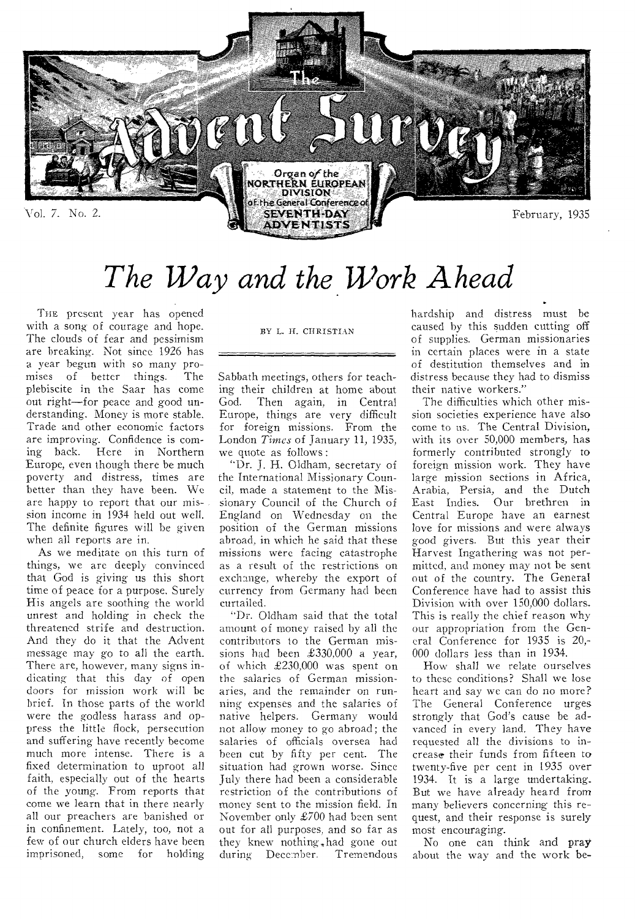

# *The Way and the Work Ahead*

THE, present year has opened with a song of courage and hope. The clouds of fear and pessimism are breaking. Not since 1926 has a year begun with so many promises of better things. The plebiscite in the Saar has come out right—for peace and good understanding. Money is more stable. Trade and other economic factors are improving. Confidence is coming back. Here in Northern Europe, even though there be much poverty and distress, times are better than they have been. We are happy to report that our mission income in 1934 held out well. The definite figures will be given when all reports are in.

As we meditate on this turn of things, we are deeply convinced that God is giving us this short time of peace for a purpose. Surely His angels are soothing the world unrest and holding in check the threatened strife and destruction. And they do it that the Advent message may go to all the earth. There are, however, many signs indicating that this day of open doors for mission work will be brief. In those parts of the world were the godless harass and oppress the little flock, persecution and suffering have recently become much more intense. There is a fixed determination to uproot all faith, especially out of the hearts of the young. From reports that come we learn that in there nearly all our preachers are banished or in confinement. Lately, too, not a few of our church elders have been imprisoned, some for holding

#### BY L. H. CHRISTIAN

Sabbath meetings, others for teaching their children at home about God. Then again, in Central Europe, things are very difficult for foreign missions. From the London *Times* of January 11, 1935, we quote as follows :

"Dr. J. H. Oldham, secretary of the International Missionary Council, made a statement to the Missionary Council of the Church of England on Wednesday on the position of the German missions abroad, in which he said that these missions were facing catastrophe as a result of the restrictions on exchange, whereby the export of currency from Germany had been curtailed.

"Dr. Oldham said that the total amount of money raised by all the contributors to the German missions had been £330,000 a year, of which £230,000 was spent on the salaries of German missionaries, and the remainder on running expenses and the salaries of native helpers. Germany would not allow money to go abroad; the salaries of officials oversea had been cut by fifty per cent. The situation had grown worse. Since July there had been a considerable restriction of the contributions of money sent to the mission field. In November only £700 had been sent out for all purposes, and so far as they knew nothing, had gone out during December. Tremendous

hardship and distress must be caused by this sudden cutting off of supplies. German missionaries in certain places were in a state of destitution themselves and in distress because they had to dismiss their native workers."

The difficulties which other mission societies experience have also come to us. The Central Division, with its over 50,000 members, has formerly contributed strongly to foreign mission work. They have large mission sections in Africa, Arabia, Persia, and the Dutch East Indies. Our brethren in Central Europe have an earnest love for missions and were always good givers. But this year their Harvest Ingathering was not permitted, and money may not be sent out of the country. The General Conference have had to assist this Division with over 150,000 dollars. This is really the chief reason why our appropriation from the General Conference for 1935 is 20,- 000 dollars less than in 1934.

How shall we relate ourselves to these conditions? Shall we lose heart and say we can do no more? The General Conference urges strongly that God's cause be advanced in every land. They have requested all the divisions to increase. their funds from fifteen to twenty-five per cent in 1935 over 1934. It is a large undertaking. But we have already heard from many believers concerning this request, and their response is surely most encouraging.

No one can think and pray about the way and the work be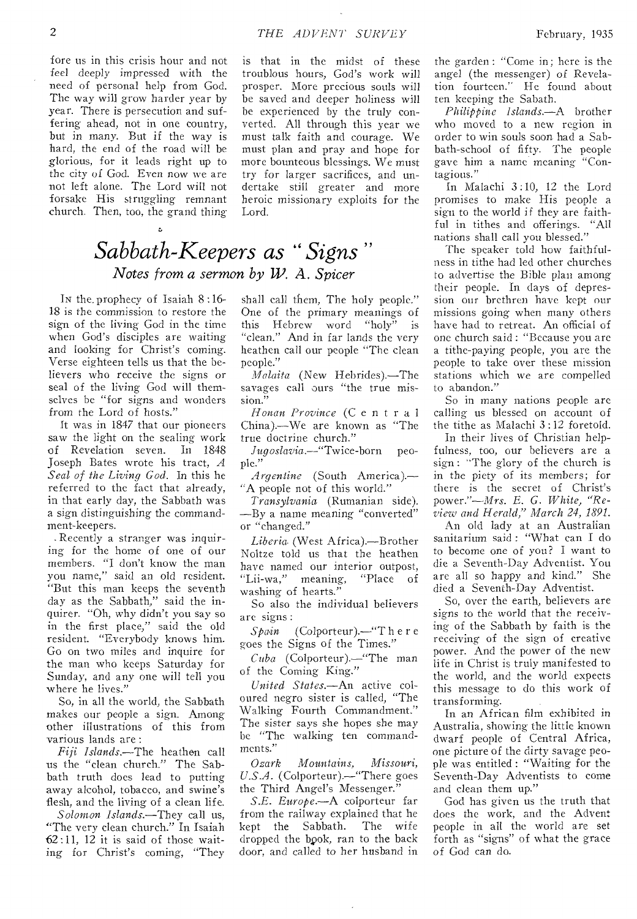fore us in this crisis hour and not feel deeply impressed with the need of personal help from God. The way will grow harder year by year. There is persecution and suffering ahead, not in one country, but in many. But if the way is hard, the end of the road will be glorious, for it leads right up to the city of God. Even now we are not left alone. The Lord will not forsake His struggling remnant church. Then, too, the grand thing

is that in the midst of these troublous hours, God's work will prosper. More precious souls will be saved and deeper holiness will be experienced by the truly converted. All through this year we must talk faith and courage. We must plan and pray and hope for more bounteous blessings. We must try for larger sacrifices, and undertake still greater and more heroic missionary exploits for the Lord.

### ) I *Sabbath-Keepers as " Signs Notes from a sermon by W. A. Spicer*

In the, prophecy of Isaiah 8 :16- 18 is the commission to restore the sign of the living God in the time when God's disciples are waiting and looking for Christ's coming. Verse eighteen tells us that the believers who receive the signs or seal of the living God will themselves be "for signs and wonders from the Lord of hosts."

It was in 1847 that our pioneers saw the light on the sealing work of Revelation seven. In 1848 Joseph Bates wrote his tract, *A Seal of the Living God.* In this he referred to the fact that already, in that early day, the Sabbath was a sign distinguishing the commandment-keepers.

-Recently a stranger was inquiring for the home of one of our members. "I don't know the man you name," said an old resident. "But this man keeps the seventh day as the Sabbath," said the inquirer. "Oh, why didn't you say so in the first place," said the old resident. "Everybody knows him. Go on two miles and inquire for the man who keeps Saturday for Sunday, and any one will tell you where he lives."

So, in all the world, the Sabbath makes our people a sign. Among other illustrations of this from various lands are :

*Fiji Islands.—The* heathen call us the "clean church." The Sabbath truth does lead to putting away alcohol, tobacco, and swine's flesh, and the living of a clean life.

*Solomon Islands.—They* call us, "The very clean church." In Isaiah  $62:11$ ,  $12$  it is said of those waiting for Christ's coming, "They

shall call them, The holy people." One of the primary meanings of this Hebrew word "holy" is "clean." And in far lands the very heathen call our people "The clean people."

*Malaita* (New Hebrides).—The savages call ours "the true mission.'

*Honan Province* (C e n t r a l China).—We are known as "The true doctrine church."

*Jugoslavia.—"Twice-born* people."

*Argentine* (South America).— "A people not of this world."

*Transylvania* (Rumanian side). —By a name meaning "converted" or "changed."

*Liberia-* (West Africa).—Brother Noltze told us that the heathen have named our interior outpost,<br>"Lii-wa," meaning, "Place of "Lii-wa," meaning, "Place of washing of hearts."

So also the individual believers are signs:

*Spain* (Colporteur).—"T here goes the Signs of the Times."

*Cuba* (Colporteur).—"The man of the Coming King."

*United States.—An* active coloured negro sister is called, "The Walking Fourth Commandment." The sister says she hopes she may be "The walking ten commandments."

*Ozark Mountains, Missouri, U.S.A.* (Colporteur).—"There goes the Third Angel's Messenger."

*S.E. Europe.—A* colporteur far from the railway explained that he<br>kept the Sabbath. The wife kept the Sabbath. dropped the bpok, ran to the back door, and called to her husband in the garden : "Come in; here is the angel (the messenger) of Revelation fourteen." He found about ten keeping the Sabath.

*Philippine Islands.—A* brother who moved to a new region in order to win souls soon had a Sabbath-school of fifty. The people gave him a name meaning "Contagious."

In Malachi 3 :10, 12 the Lord promises to make His people a sign to the world if they are faithful in tithes and offerings. "All nations shall call you blessed."

The speaker told how faithfulness in tithe had led other churches to advertise the Bible plan among their people. In clays of depression our brethren have kept our missions going when many others have had to retreat. An official of one church said : "Because you are a tithe-paying people, you are the people to take over these mission stations which we are compelled to abandon."

So in many nations people are calling us blessed on account of the tithe as Malachi 3 :12 foretold.

In their lives of Christian helpfulness, too, our believers are a sign : "The glory of the church is in the piety of its members; for there is the secret of Christ's power."—Mrs. *E. G. White, "Review and Herald," March 24, 1891.* 

An old lady at an Australian sanitarium said : "What can I do to become one of you? I want to die a Seventh-Day Adventist. You are all so happy and kind." She died a Seventh-Day Adventist.

So, over the earth, believers are signs to the world that the receiving of the Sabbath by faith is the receiving of the sign of creative power. And the power of the new life in Christ is truly manifested to the world, and the world expects this message to do this work of transforming.

In an African film exhibited in Australia, showing the little known dwarf people of Central Africa, one picture of the dirty savage people was entitled : "Waiting for the Seventh-Day Adventists to come and clean them up."

God has given us the truth that does the work, and the Advent people in all the world are set forth as "signs" of what the grace of God can do.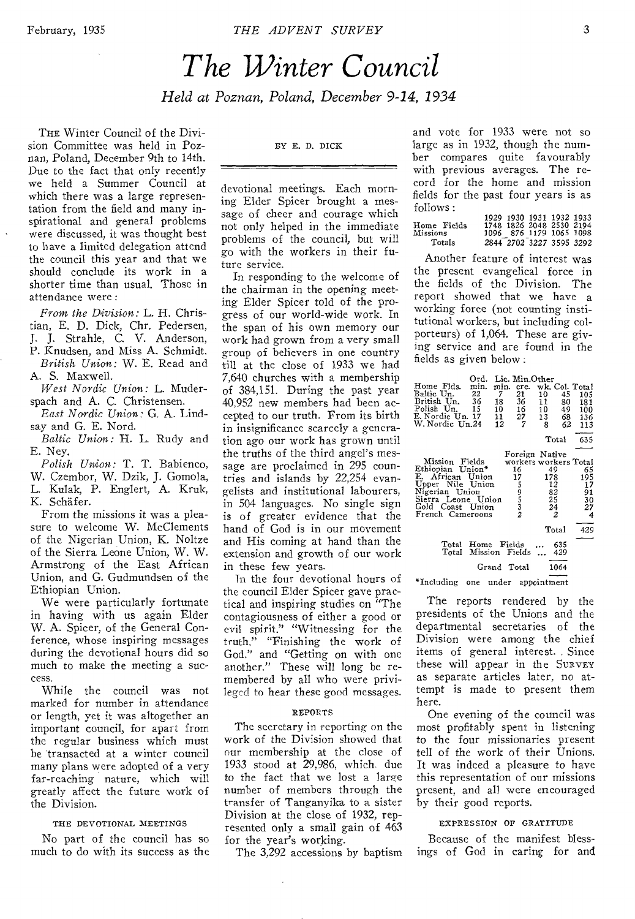## *The Winter Council Held at Poznan, Poland, December 9-14, 1934*

THE Winter Council of the Division Committee was held in Poznan, Poland, December 9th to 14th. Due to the fact that only recently we held a Summer Council at which there was a large representation from the field and many inspirational and general problems were discussed, it was thought best to have a limited delegation attend the council this year and that we should conclude its work in a shorter time than usual. Those in attendance were :

*From the Division:* L. H. Christian, E. D. Dick, Chr. Pedersen, J. J. Strahle, C. V. Anderson, P. Knudsen, and Miss A. Schmidt. *British Union:* W. E. Read and A. S. Maxwell.

*West Nordic Union:* L. Muderspach and A. C. Christensen.

*East Nordic Union:* G. A. Lindsay and G. E. Nord.

*Baltic Union:* H. L. Rudy and E. Ney.

*Polish Union:* T. T. Babienco, W. Czembor, W. Dzik, J. Gomola, L. Kulak, P. Englert, A. Kruk, K. Schafer.

From the missions it was a pleasure to welcome W. McClements of the Nigerian Union, K. Noltze of the Sierra Leone Union, W. W. Armstrong of the East African Union, and G. Gudmundsen of the Ethiopian Union.

We were particularly fortunate in having with us again Elder W. A. Spicer, of the General Conference, whose inspiring messages during the devotional hours did so much to make the meeting a success.

While the council was not marked for number in attendance or length, yet it was altogether an important council, for apart from the regular business which must be transacted at a winter council many plans were adopted of a very far-reaching nature, which will greatly affect the future work of the Division.

#### THE DEVOTIONAL MEETINGS

No part of the council has so much to do with its success as the

#### BY E. D. DICK

devotional meetings. Each morning Elder Spicer brought a message of cheer and courage which not only helped in the immediate problems of the council, but will go with the workers in their future service.

In responding to the welcome of the chairman in the opening meeting Elder Spicer told of the progress of our world-wide work. In the span of his own memory our work had grown from a very small group of believers in one country till at the close of 1933 we had 7,640 churches with a membership of 384,151. During the past year 40,952 new members had been accepted to our truth. From its birth in insignificance scarcely a generation ago our work has grown until the truths of the third angel's message are proclaimed in 295 countries and islands by 22,254 evangelists and institutional labourers, in 504 languages. No single sign is of greater evidence that the hand of God is in our movement and His coming at hand than the extension and growth of our work in these few years.

Tn the four devotional hours of the council Elder Spicer gave practical and inspiring studies on "The contagiousness of either a good or evil spirit." "Witnessing for the truth," "Finishing the work of God." and "Getting on with one another." These will long be remembered by all who were privileged to hear these good messages.

#### REPORTS

The secretary in reporting on the work of the Division showed that our membership at the close of 1933 stood at 29,986, which due to the fact that we lost a large number of members through the transfer of Tanganyika to a sister Division at the close of 1932, represented only a small gain of 463 for the year's working.

The 3,292 accessions by baptism

and vote for 1933 were not so large as in 1932, though the number compares quite favourably with previous averages. The record for the home and mission fields for the past four years is as follows : 1929 1930 1931 1932 1933

| Home Fields<br>Missions |  | 1929 1930 1931 1932 1933<br>1748 1826 2048 2530 2194<br>1096 876 1179 1065 1098 |  |  |
|-------------------------|--|---------------------------------------------------------------------------------|--|--|
| Totals                  |  | 2844 2702 3227 3595 3292                                                        |  |  |

Another feature of interest was the present evangelical force in the fields of the Division. The report showed that we have a working force (not counting institutional workers, but including colporteurs) of 1,064. These are giving service and are found in the fields as given below .

|                                      | Ord.           |             | Lic. Min.Other        |                |      |     |
|--------------------------------------|----------------|-------------|-----------------------|----------------|------|-----|
| Home Flds.                           | min.           | min.        | cre.                  | wk. Col. Total |      |     |
| Baltic Un.                           | 22             | 7           | 21                    | 10             | 45   | 105 |
| British Un.                          | 36             | 18          | 36                    | 11             | 80   | 181 |
| Polish Un.                           | 15             | 10          | 16                    | 10             | 49   | 100 |
| E. Nordic Un. 17                     |                | 11          | 27                    | 13             | 68   | 136 |
| W. Nordic Un.24                      |                | 12          | 7                     | 8              | 62   | 113 |
|                                      |                |             |                       | $_{\rm Total}$ |      | 635 |
|                                      |                |             |                       |                |      |     |
|                                      |                |             | Foreign Native        |                |      |     |
| Mission Fields                       |                |             | workers workers Total |                |      |     |
| Ethiopian Union*                     |                |             | 16                    | 49             |      | 65  |
| E. African Union                     |                |             | 17                    | 178            |      | 195 |
| Upper Nile Union                     |                |             |                       | 12             |      | 17  |
| Nigerian Union                       |                |             | 59532                 | 82             |      | 91  |
| Sierra Leone Union                   |                |             |                       | 25             |      | 30  |
| Gold Coast Union<br>French Cameroons |                |             |                       | 24<br>2        |      | 27  |
|                                      |                |             |                       |                |      | 4   |
|                                      |                |             |                       | Total          |      | 429 |
| Total                                | Home Fields    |             |                       |                | 635  |     |
| Total                                | Mission Fields |             |                       |                | 429  |     |
|                                      |                |             |                       |                |      |     |
|                                      |                | Grand Total |                       |                | 1064 |     |

\*Including one under appointment

The reports rendered by the presidents of the Unions and the departmental secretaries of the Division were among the chief items of general interest. Since these will appear in the SURVEY as separate articles later, no attempt is made to present them here.

One evening of the council was most profitably spent in listening to the four missionaries present tell of the work of their Unions. It was indeed a pleasure to have this representation of our missions present, and all were encouraged by their good reports.

#### EXPRESSION OF GRATITUDE

Because of the manifest blessings of God in caring for and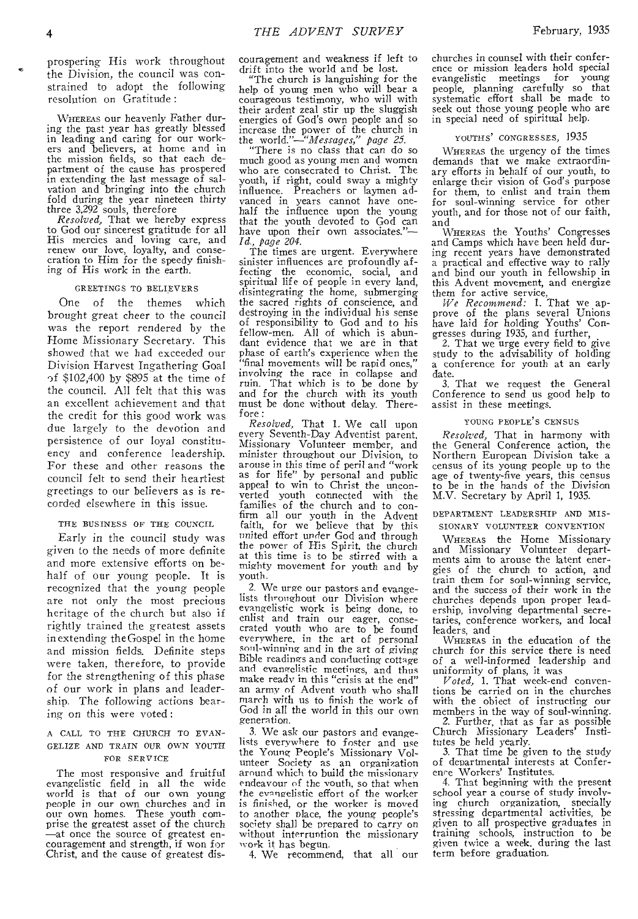prospering His work throughout the Division, the council was constrained to adopt the following resolution on Gratitude :

WHEREAS our heavenly Father during the past year has greatly blessed in leading and caring for our workers and believers, at home and in the mission fields, so that each department of the cause has prospered in extending the last message of sal-vation and bringing into the church fold during the year nineteen thirty

three 3,292 souls, therefore *Resolved,* That we hereby express to God our sincerest gratitude for all His mercies and loving care, and renew our love, loyalty, and consecration to Him for the speedy finishing of His work in the earth.

#### GREETINGS TO BELIEVERS

One of the themes which brought great cheer to the council was the report rendered by the Home Missionary Secretary. This showed that we had exceeded our Division Harvest Ingathering Goal of \$102,400 by \$895 at the time of the council. All felt that this was an excellent achievement and that the credit for this good work was due largely to the devotion and persistence of our loyal constituency and conference leadership. For these and other reasons the council felt to send their heartiest greetings to our believers as is recorded elsewhere in this issue.

#### THE BUSINESS OF THE COUNCIL

Early in the council study was given to the needs of more definite and more extensive efforts on behalf of our young people. It is recognized that the young people are not only the most precious heritage of the church but also if rightly trained the greatest assets in extending the Gospel in the home and mission fields. Definite steps were taken, therefore, to provide for the strengthening of this phase of our work in plans and leadership. The following actions bearing on this were voted :

#### A CALL TO THE CHURCH TO EVAN-GELIZE AND TRAIN OUR OWN YOUTH FOR SERVICE

The most responsive and fruitful evangelistic field in all the wide world is that of our own young people in our own churches and in our own homes. These youth comprise the greatest asset of the church —at once the source of greatest en-couragement and strength, if won for Christ, and the cause of greatest discouragement and weakness if left to drift into the world and be lost.

"The church is languishing for the help of young men who will bear a courageous testimony, who will with their ardent zeal stir up the sluggish energies of God's own people and so increase the power of the church in

the *world."---"Messages," page 25.*  "There is no class that can do so much good as young men and women who are consecrated to Christ. The youth, if right, could sway a mighty influence. Preachers or laymen ad-vanced in years cannot have onehalf the influence upon the young that the youth devoted to God can have upon their own associates."— *Id., page 204.* 

The times are urgent. Everywhere sinister influences are profoundly affecting the economic, social, and spiritual life of people in every land, disintegrating the home, submerging the sacred rights of conscience, and destroying in the individual his sense of responsibility to God and to his fellow-men. All of which is abundant evidence that we are in that phase of earth's experience when the "final movements will be rapid ones," involving the race in collapse and ruin. That which is to be done by and for the church with its youth must be done without delay. Therefore :

*Resolved,* That 1. We call upon every Seventh-Day Adventist parent. Missionary Volunteer member, and minister throughout our Division, to arouse in this time of peril and "work as for life" by personal and public appeal to win to Christ the uncon-verted youth connected with the families of the church and to confirm all our youth in the Advent faith, for we believe that by this united effort under God and through the power of His Spirit, the church<br>at this time is to be stirred with a mighty movement for youth and by youth.

2. We urge our pastors and evangelists throughout our Division where evangelistic work is being done, to enlist and train our eager, consecrated youth who are to be found everywhere, in the art *of* personal soul-winning and in the art of *giving*  Bible readings and conducting cottage and evangelistic meetings, and thus make ready in this "crisis at the end" an army of Advent youth who shall march with us to finish the work of God in all the world in this our own generation,

3. We ask our pastors and evangelists everywhere to foster and use the Young People's Missionary Volunteer Society as an organization around which to build the missionary endeavour of the youth, so that when the evangelistic effort of the worker is finished, or the worker is moved to another place, the young people's society shall be prepared to carry on without interruntion the missionary work it has begun.

4. We recommend, that all our

churches in counsel with their conference or mission leaders hold special evangelistic meetings for young people, planning carefully so that systematic effort shall be made to seek out those young people who are in special need of spiritual help.

#### YOUTHS' CONGRESSES, 1935

WHEREAS the urgency of the times demands that we make extraordinary efforts in behalf of our youth, to enlarge their vision of God's purpose for them, to enlist and train them for soul-winning service for other youth, and for those not of our faith, and

WHEREAS the Youths' Congresses and Camps which have been held during recent years have demonstrated a practical and effective way to rally and bind our youth in fellowship in this Advent movement, and energize

them for active service, *We Recommend:* 1. That we approve of the plans several Unions have laid for holding Youths' Congresses during 1935, and further,

2. That we urge every field to give study to the advisability of holding a conference for youth at an early date.

3. That we request the General Conference to send us good help to assist in these meetings.

#### YOUNG PEOPLE'S CENSUS

*Resolved,* That in harmony with the General Conference action, the Northern European Division take a census of its young people up to the age of twenty-five years, this census to be in the hands of the Division M.V. Secretary by April 1, 1935.

#### DEPARTMENT LEADERSHIP AND MIS-SIONARY VOLUNTEER CONVENTION

WHEREAS the Home Missionary and Missionary Volunteer departments aim to arouse the latent energies of the church to action, and train them for soul-winning service, and the success of their work in the churches depends upon proper leadership, involving departmental secretaries, conference workers, and local leaders, and

WHEREAS in the education of the church for this service there is need of a well-informed leadership and uniformity of plans, it was

*Voted,* 1. That week-end conventions be carried on in the churches with the obiect of instructing our members in the way of soul-winning.

2. Further, that as far as possible Church Missionary Leaders' Institutes be held yearly.

3. That time be given to the study of departmental interests at Confer-

ence Workers' Institutes. 4. That beginning with the present school year a course of study involving church organization, specially stressing departmental activities, be given to all prospective graduates in training schools, instruction to be given twice a week, during the last term before graduation.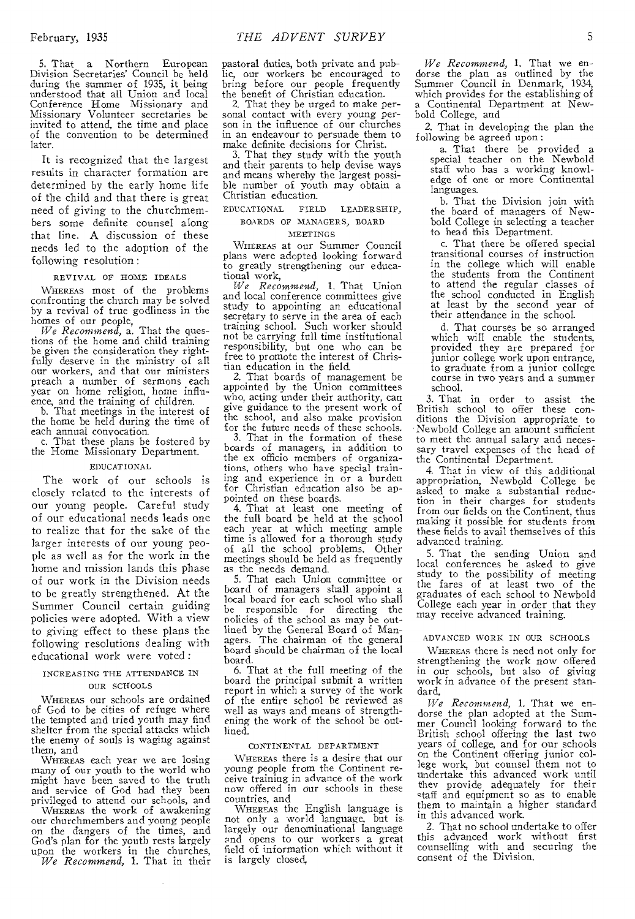5. That a Northern European Division Secretaries' Council be held during the summer of 1935, it being understood that all Union and local Conference Home Missionary and Missionary Volunteer secretaries be invited to attend, the time and place of the convention to be determined later.

It is recognized that the largest results in character formation are determined by the early home life of the child and that there is great need of *giving* to the churchmembers some definite counsel along that line. A discussion of these needs led to the adoption of the following resolution :

#### REVIVAL OF HOME IDEALS

WHEREAS most of the problems confronting the church may be solved by a revival of true godliness in the

homes of our people,<br>We *Recommend*, a. That the ques-<br>tions of the home and child training be given the consideration they rightfully deserve in the ministry of all our workers, and that our ministers preach a number of sermons each year on home religion, home influence, and the training of children.

b. That meetings in the interest of the home be held during the time of each annual convocation.

c. That these plans be fostered by the Home Missionary Department.

#### EDUCATIONAL

The work of our schools is closely related to the interests of our young people. Careful study of our educational needs leads one to realize that for the sake of the larger interests of our young people as well as for the work in the home and mission lands this phase of our work in the Division needs to be greatly strengthened. At the Summer Council certain guiding policies were adopted. With a view to giving effect to these plans the following resolutions dealing with educational work were voted :

#### INCREASING THE ATTENDANCE IN OUR SCHOOLS

WHEREAS our schools are ordained of God to be cities of refuge where the tempted and tried youth may find shelter from the special attacks which the enemy of souls is waging against them, and

WHEREAS each year we are losing many of our youth to the world who might have been saved to the truth and service of God had they been privileged to attend our schools, and

WHEREAS the work of awakening our churchmembers and young people on the dangers of the times, and God's plan for the youth rests largely upon the workers in the churches, *We Recommend,* 1. That in their pastoral duties, both private and public, our workers be encouraged to bring before our people frequently the benefit of Christian education.

That they be urged to make personal contact with every young person in the influence of our churches in an endeavour to persuade them to make definite decisions for Christ.

3. That they study with the youth and their parents to help devise ways and means whereby the largest possible number of youth may obtain a Christian education.

#### EDUCATIONAL FIELD LEADERSHIP, BOARDS OF MANAGERS, BOARD

#### MEETINGS

WHEREAS at our Summer Council plans were adopted looking forward to greatly strengthening our educational work,

*We Recommend,* 1. That Union and local conference committees give study to appointing an educational secretary to serve in the area of each<br>training school. Such worker should not be carrying full time institutional responsibility, but one who can be free to promote the interest of Christian education in the field.

2. That boards of management be appointed by the Union committees who, acting under their authority, can give guidance to the present work of the school, and also make provision for the future needs of these schools.

3. That in the formation of these boards of managers, in addition to the ex officio members of organizations, others who have special training and experience in or a burden for Christian education also be appointed on these boards.

4. That at least one meeting of the full board be held at the school each year at which meeting ample time is allowed for a thorough study of all the school problems. Other meetings should be held as frequently as the needs demand.

5. That each Union committee or board of managers shall appoint a local board for each school who shall be responsible for directing the policies of the school as may be outlined by the General Board of Man-<br>agers. The chairman of the general The chairman of the general board should be chairman of the local board.

6. That at the full meeting of the board the principal submit a written report in which a survey of the work of the entire school be reviewed as well as ways and means of strengthening the work of the school be outlined.

#### CONTINENTAL DEPARTMENT

WHEREAS there is a desire that our young people from the Continent receive training in advance of the work now offered in our schools in these countries, and

WHEREAS the English language is not only a world language, but is largely our denominational language nd opens to our workers a great field of information which without it is largely closed,

*We Recommend,* 1. That we endorse the plan as outlined by the Summer Council in Denmark, 1934, which provides for the establishing of a Continental Department at Newbold College, and

2. That in developing the plan the following be agreed upon :

a. That there be provided a special teacher on the Newbold staff who has a working knowledge of one or more Continental languages.

b. That the Division join with the board of managers of Newbold College in selecting a teacher to head this Department.

c. That there be offered special transitional courses of instruction in the college which will enable the students from the Continent to attend the regular classes of the school conducted in English at least by the second year of their attendance in the school.

d. That courses be so arranged which will enable the students, provided they are prepared for junior college work upon entrance, to graduate from a junior college course in two years and a summer school.

3. That in order to assist the British school to offer these conditions the Division appropriate to Newbold College an amount sufficient to meet the annual salary and necessary travel expenses of the head of the Continental Department.

4. That in view of this additional appropriation, Newbold College be asked to make a substantial reduction in their charges for students from our fields on the Continent, thus making it possible for students from these fields to avail themselves of this advanced training.

5. That the sending Union and local conferences be asked to give study to the possibility of meeting the fares of at least two of the graduates of each school to Newbold College each year in order that they may receive advanced training.

#### ADVANCED WORK IN OUR SCHOOLS

WHEREAS there is need not only for strengthening the work now offered in our schools, but also of giving work in advance of the present standard,

*We Recommend,* 1. That we endorse the plan adopted at the Summer Council looking forward to the British school offering the last two years of college, and for our schools on the Continent offering junior col-lege work, but counsel them not to undertake this advanced work until they provide adequately for their staff and equipment so as to enable them to maintain a higher standard in this advanced work.

2. That no school undertake to offer this advanced work without first counselling with and securing the consent of the Division.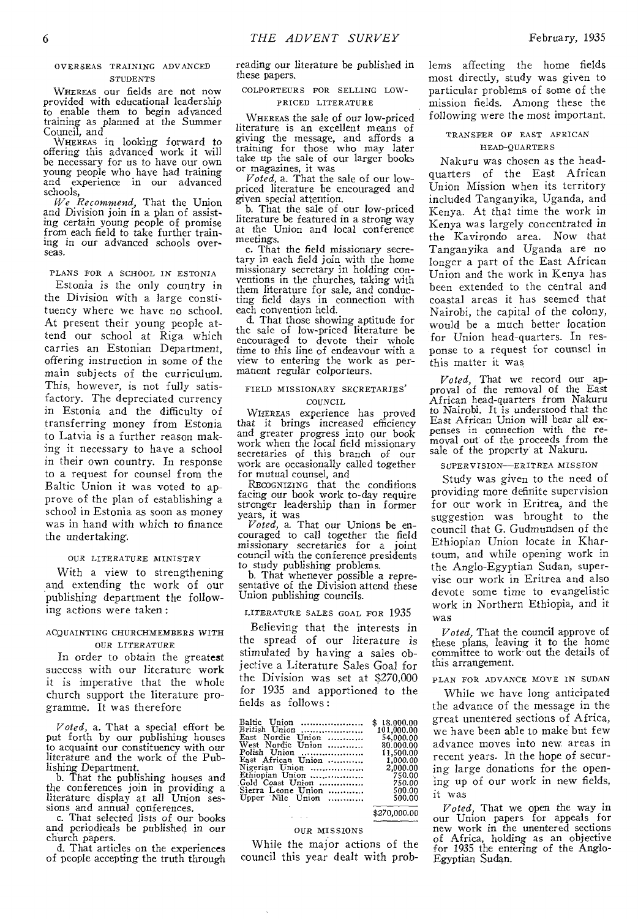#### OVER SEAS TRAINING ADVANCED **STUDENTS**

WHEREAS our fields are not now provided with educational leadership to enable them to begin advanced training as planned at the Summer Council, and

WHEREAS in looking forward to offering this advanced work it will be necessary for us to have our own young people who have had training and experience in our advanced schools,

*We Recommend,* That the Union and Division join in a plan of assisting certain young people of promise from each field to take further training in our advanced schools overseas.

#### PLANS FOR A SCHOOL IN ESTONIA

Estonia is the only country in the Division with a large constituency where we have no school. At present their young people attend our school at Riga which carries an Estonian Department, offering instruction in some of the main subjects of the curriculum. This, however, is not fully satisfactory. The depreciated currency in Estonia and the difficulty of transferring money from Estonia to Latvia is a further reason making it necessary to have a school in their own country. In response to a request for counsel from the Baltic Union it was voted to approve of the plan of establishing a school in Estonia as soon as money was in hand with which to finance the undertaking.

#### OUR LITERATURE MINISTRY

With a view to strengthening and extending the work of our publishing department the following actions were taken :

#### ACOUAINTING CHURCHMEMBERS WITH OUR LITERATURE

In order to obtain the greatest success with our literature work it is imperative that the whole church support the literature programme. It was therefore

*Voted,* a. That a special effort be put forth by our publishing houses to acquaint our constituency with our literature and the work of the Publishing Department.

b. That the publishing houses and the conferences join in providing a literature display at all Union ses-sions and annual conferences.

c. That selected lists of our books and periodicals be published in our church papers.

d. That articles on the experiences of people accepting the truth through reading our literature be published in these papers.

#### COLPORTEURS FOR SELLING LOW-PRICED LITERATURE

WHEREAS the sale of our low-priced literature is an excellent means of giving the message, and affords a training for those who may later take up the sale of our larger books or magazines, it was

*Voted,* a. That the sale of our lowpriced literature be encouraged and given special attention.

b. That the sale of our low-priced literature be featured in a strong way at the Union and local conference meetings.

c. That the field missionary secretary in each field join with the home missionary secretary in holding conventions in the churches, taking with them literature for sale, and conducting field days in connection with each convention held.

d. That those showing aptitude for the sale of low-priced literature be encouraged to devote their whole time to this line of endeavour with a view to entering the work as permanent regular colporteurs.

#### FIELD MISSIONARY SECRETARIES'

#### COUNCIL.

WHEREAS experience has proved that it brings increased efficiency and greater progress into our book work when the local field missionary secretaries of this branch of our work are occasionally called together for mutual counsel, and

RECOGNIZING that the conditions facing our book work to-day require stronger leadership than in former years, it was

*Voted,* a. That our Unions be encouraged to call together the field missionary secretaries for a joint council with the conference presidents to study publishing problems.

b. That whenever possible a representative of the Division attend these Union publishing councils.

#### LITERATURE SALES GOAL FOR 1935

Believing that the interests in the spread of our literature is stimulated by having a sales objective a Literature Sales Goal for the Division was set at \$270,000 for 1935 and apportioned to the fields as follows :

| Baltic Union       | \$18.000.00 |
|--------------------|-------------|
| British Union      | 101,000.00  |
| East Nordic Union  | 54,000.00   |
| West Nordic Union  | 80.000.00   |
| Polish Union       | 11,500.00   |
| East African Union | 1,000.00    |
| Nigerian Union     | 2,000.00    |
| Ethiopian Union    | 750.00      |
| Gold Coast Union   | 750.00      |
| Sierra Leone Union | 500.00      |
| Upper Nile Union   | 500.00      |

\$270,000.00

#### OUR MISSIONS

While the major actions of the council this year dealt with problems affecting the home fields most directly, study was given to particular problems of some of the mission fields. Among these the following were the most important.

#### TRANSFER OF EAST AFRICAN HEAD-QUARTERS

Nakuru was chosen as the headquarters of the East African Union Mission when its territory included Tanganyika, Uganda, and Kenya. At that time the work in Kenya was largely concentrated in the Kavirondo area. Now that Tanganyika and Uganda are no longer a part of the East African Union and the work in Kenya has been extended to the central and coastal areas it has seemed that Nairobi, the capital of the colony, would be a much better location for Union head-quarters. In response to a request for counsel in this matter it was

*Voted,* That we record our approval of the removal of the East African head-quarters from Nakuru to Nairobi. It is understood that the East African Union will bear all expenses in connection with the re-moval out of the proceeds from the sale of the property at Nakuru.

#### SUPERVISION—ERITREA MISSION

Study was given to the need of providing more definite supervision for our work in Eritrea, and the suggestion was brought to the council that G. Gudmundsen of the Ethiopian Union locate in Khartoum, and while opening work in the Anglo-Egyptian Sudan, supervise our work in Eritrea and also devote some time to evangelistic work in Northern Ethiopia, and it was

*Voted,* That the council approve of these plans, leaving it to the home committee to work out the details of this arrangement.

#### PLAN FOR ADVANCE MOVE IN SUDAN

While we have long anticipated the advance of the message in the great unentered sections of Africa, we have been able to make but few advance moves into new areas in recent years. In the hope of securing large donations for the opening up of our work in new fields, it was

*Voted,* That we open the way in our Union papers for appeals for new work in the unentered sections of Africa, holding as an objective for 1935 the entering of the Anglo-Egyptian Sudan.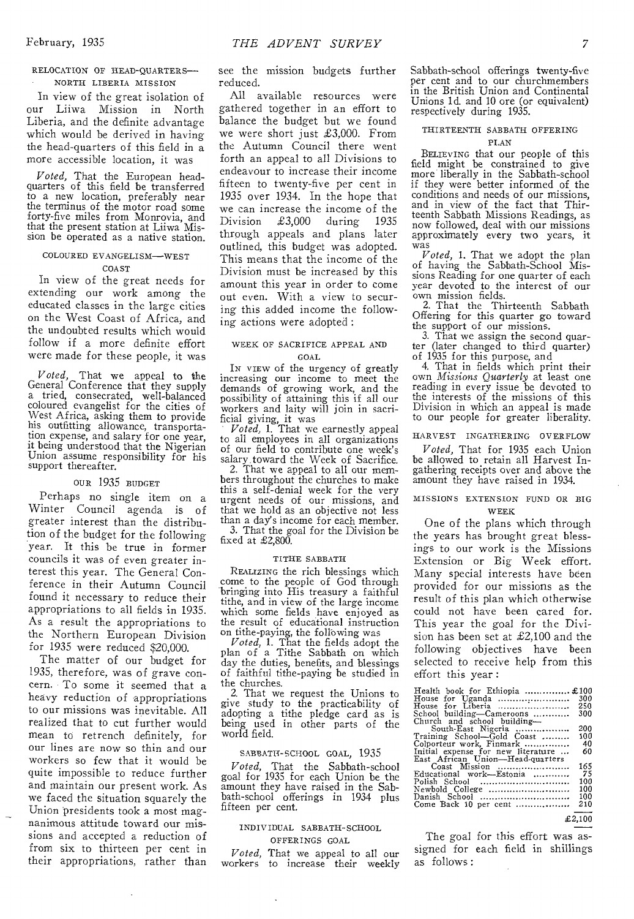#### RELOCATION OF HEAD-QUARTERS-NORTH LIBERIA MISSION

In view of the great isolation of our Liiwa Mission in North Liberia, and the definite advantage which would be derived in having the head-quarters of this field in a more accessible location, it was

*Voted,* That the European headquarters of this field be transferred to a new location, preferably near the terminus of the motor road some forty-five miles from Monrovia, and that the present station at Liiwa Mission be operated as a native station.

#### COLOURED EVANGELISM—WEST COAST

In view of the great needs for extending our work among the educated classes in the large cities on the West Coast of Africa, and the undoubted results which would follow if a more definite effort were made for these people, it was

*Voted,* That we appeal to the General Conference that they supply a tried, consecrated, well-balanced coloured evangelist for the cities of West Africa, asking them to provide his outfitting allowance, transportation expense, and salary for one year, it being understood that the Nigerian Union assume responsibility for his support thereafter.

#### OUR 1935 BUDGET

Perhaps no single item on a Winter Council agenda is of greater interest than the distribution of the budget for the following year. It this be true in former councils it was of even greater interest this year. The General Conference in their Autumn Council found it necessary to reduce their appropriations to all fields in 1935. As a result the appropriations to the Northern European Division for 1935 were reduced \$20,000.

The matter of our budget for 1935, therefore, was of grave concern. To some it seemed that a heavy reduction of appropriations to our missions was inevitable. All realized that to cut further would mean to retrench definitely, for our lines are now so thin and our workers so few that it would be quite impossible to reduce further and maintain our present work. As we faced the situation squarely the Union presidents took a most magnanimous attitude toward our missions and accepted a reduction of from six to thirteen per cent in their appropriations, rather than see the mission budgets further reduced.

All available resources were gathered together in an effort to balance the budget but we found we were short just £3,000. From the Autumn Council there went forth an appeal to all Divisions to endeavour to increase their income fifteen to twenty-five per cent in 1935 over 1934. In the hope that we can increase the income of the<br>Division  $\text{\pounds}3.000$  during 1935 Division  $\text{\pounds}3,000$  during through appeals and plans later outlined, this budget was adopted. This means that the income of the Division must be increased by this amount this year in order to come out even. With a view to securing this added income the following actions were adopted :

#### WEEK OF SACRIFICE APPEAL AND GOAL

IN VIEW of the urgency of greatly increasing our income to meet the demands of growing work, and the possibility of attaining this if all our workers and laity will join in sacrificial giving, it was

*Voted,* 1. That we earnestly appeal to all employees in all organizations of our field to contribute one week's salary toward the Week of Sacrifice.

2. That we appeal to all our members throughout the churches to make this a self-denial week for the very urgent needs of our missions, and that we hold as an objective not less than a day's income for each member.

3. That the goal for the Division be fixed at £2,800.

#### TITHE SABBATH

REALIZING the rich blessings which come to the people of God through bringing into His treasury a faithful tithe, and in view of the large income which some fields have enjoyed as the result of educational instruction

on tithe-paying, the following was *Voted,* 1. That the fields adopt the plan of a Tithe Sabbath on which day the duties, benefits, and blessings of faithful tithe-paying be studied in the churches.

2. That we request the Unions to give study to the practicability of adopting a tithe pledge card as is being used in other parts of the world field.

#### SABBATH-SCHOOL GOAL, 1935

*Voted,* That the Sabbath-school goal for 1935 for each Union be the amount they have raised in the Sabbath-school offerings in 1934 plus fifteen per cent.

### INDIVIDUAL SABBATH-SCHOOL

OFFERINGS GOAL

*Voted,* That we appeal to all our workers to increase their weekly Sabbath-school offerings twenty-five per cent and to our churchmembers in the British Union and Continental Unions ld. and 10 ore (or equivalent) respectively during 1935.

#### THIRTEENTH SABBATH OFFERING

#### PLAN

BELIEVING that our people of this field might be constrained to give more liberally in the Sabbath-school if they were better informed of the conditions and needs of our missions, and in view of the fact that Thirteenth Sabbath Missions Readings, as now followed, deal with our missions approximately every two years, it was

*Voted,* 1. That we adopt the plan of having the Sabbath-School Missions Reading for one quarter of each year devoted to the interest of our

own mission fields. 2. That the Thirteenth Sabbath Offering for this quarter go toward the support of our missions.

3. That we assign the second quarter (later changed to third quarter) of 1935 for this purpose, and

4. That in fields which print their own *Missions Quarterly* at least one reading in every issue be devoted to the interests of the missions of this Division in which an appeal is made to our people for greater liberality.

#### HARVEST INGATHERING OVERFLOW

*Voted,* That for 1935 each Union be allowed to retain all Harvest Ingathering receipts over and above the amount they have raised in 1934.

#### MISSIONS EXTENSION FUND OR BIG WEEK

One of the plans which through the years has brought great blessings to our work is the Missions Extension or Big Week effort. Many special interests have been provided for our missions as the result of this plan which otherwise could not have been cared for. This year the goal for the Division has been set at  $\pounds2,100$  and the following objectives have been selected to receive help from this effort this year :

| Health book for Ethiopia  £100     |      |
|------------------------------------|------|
| House for Uganda                   | 300  |
| House for Liberia                  | 250  |
| School building—Cameroons          | 300  |
| Church and school building—        |      |
| South-East Nigeria                 | 200  |
| Training School—Gold Coast         | 100  |
| Colporteur work, Finmark           | -40  |
| Initial expense for new literature | -60  |
| East African Union-Head-quarters   |      |
| Coast Mission                      | 165  |
| Educational work—Estonia           | - 75 |
| Polish School                      | 100  |
| Newbold College                    | 100  |
| Danish School                      | 100  |
| Come Back 10 per cent              | 210  |
|                                    |      |

#### £2,100

The goal for this effort was assigned for each field in shillings as follows :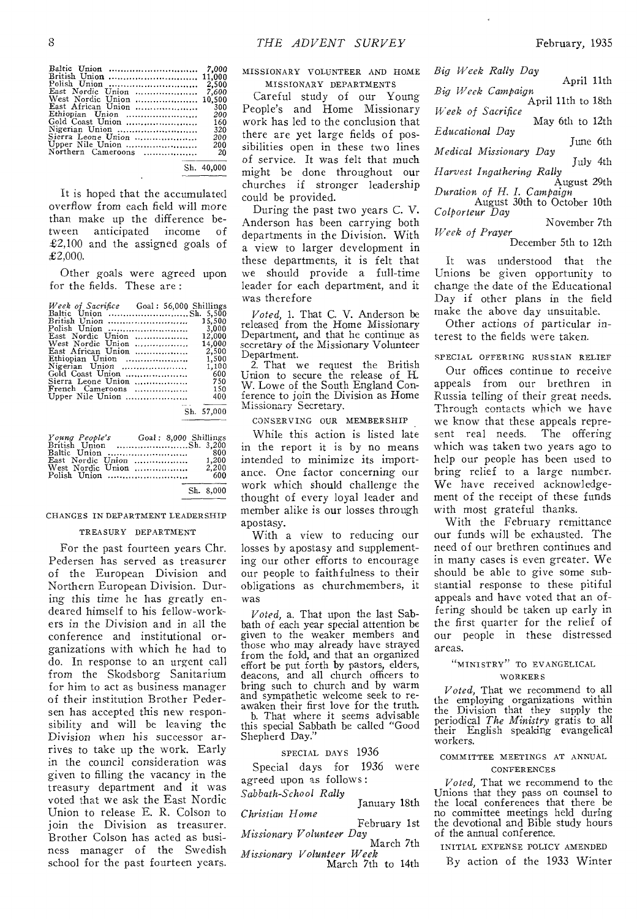| Baltic Union<br>British Union  11,000<br>Polish Union<br>East Nordic Union<br>West Nordic Union<br>East African Union<br>Ethiopian Union<br>Gold Coast Union<br>Nigerian Union<br>Sierra Leone Union<br>Upper Nile Union<br>Northern Cameroons | - 7.000<br>2,500<br>7.600<br>10.500<br>300<br>200<br>160<br>320<br>200<br>200<br>20 |
|------------------------------------------------------------------------------------------------------------------------------------------------------------------------------------------------------------------------------------------------|-------------------------------------------------------------------------------------|
| Sh. 40,000                                                                                                                                                                                                                                     |                                                                                     |

It is hoped that the accumulated overflow from each field will more than make up the difference between anticipated income of £2,100 and the assigned goals of  $£2,000.$ 

Other goals were agreed upon for the fields. These are :

| Week of Sacrifice Goal: 56,000 Shillings |  |            |
|------------------------------------------|--|------------|
|                                          |  |            |
| British Union                            |  | 15.500     |
| Polish Union                             |  | 3,000      |
| East Nordic Union                        |  | 12,000     |
| West Nordic Union                        |  | 14.000     |
| East African Union                       |  | 2,500      |
| Ethiopian Union                          |  | 1.500      |
| Nigerian Union                           |  | 1,100      |
| Gold Coast Union                         |  | 600        |
| Sierra Leone Union                       |  | 750        |
| French Cameroons                         |  | 150        |
| Upper Nile Union                         |  | 400        |
|                                          |  |            |
|                                          |  | Sh. 57,000 |

| Young People's Goal: 8,000 Shillings<br>British Union Sh. 3,200 |  |                |
|-----------------------------------------------------------------|--|----------------|
|                                                                 |  |                |
|                                                                 |  |                |
|                                                                 |  |                |
| West Nordic Union                                               |  | 2.200          |
| Polish Union                                                    |  | - 600          |
|                                                                 |  | $C1$ $C0$ 0.00 |

#### Sh. 8,000

#### CHANGES IN DEPARTMENT LEADER SHIP

#### TREASURY DEPARTMENT

For the past fourteen years Chr. Pedersen has served as treasurer of the European Division and Northern European Division. During this time he has greatly endeared himself to his fellow-workers in the Division and in all the conference and institutional organizations with which he had to do. In response to an urgent call from the Skodsborg Sanitarium for him to act as business manager of their institution Brother Pedersen has accepted this new responsibility and will be leaving the Division when his successor arrives to take up the work. Early in the council consideration was given to filling the vacancy in the treasury department and it was voted that we ask the East Nordic Union to release E. R. Colson to join the Division as treasurer. Brother Colson has acted as business manager of the Swedish school for the past fourteen years.

MISSIONARY VOLUNTEER AND HOME MISSIONARY DEPARTMENTS

Careful study of our Young People's and Home Missionary work has led to the conclusion that there are yet large fields of possibilities open in these two lines of service. It was felt that much might be done throughout our churches if stronger leadership could be provided.

During the past two years C. V. Anderson has been carrying both departments in the Division. With a view to larger development in these departments, it is felt that we should provide a full-time leader for each department, and it was therefore

*Voted,* 1. That C. V. Anderson be released from the Home Missionary Department, and that he continue as secretary of the Missionary Volunteer Department.

2. That we request the British Union to secure the release of H. W. Lowe of the South England Conference to join the Division as Home<br>Missionary Secretary,

#### CONSERVING OUR MEMBERSHIP

While this action is listed late in the report it is by no means intended to minimize its importance. One factor concerning our work which should challenge the thought of every loyal leader and member alike is our losses through apostasy.

With a view to reducing our losses by apostasy and supplementing our other efforts to encourage our people to faithfulness to their obligations as churchmembers, it was

bath of each year special attention be given to the weaker members and those who may already have strayed from the fold, and that an organized *Voted,* a. That upon the last Sabeffort be put forth by pastors, elders, deacons, and all church officers to bring such to church and by warm and sympathetic welcome seek to reawaken their first love for the truth.

b. That where it seems advisable this special Sabbath be called "Good Shepherd Day."

SPECIAL DAYS 1936

Special days for 1936 were agreed upon as follows :

*Sabbath-School Rally* 

January 18th *Christian Home* 

February 1st *Missionary Volunteer Day* 

March 7th *Missionary Volunteer Week* 

March 7th to 14th

*Big Week Rally Day*  April 11th *Big Week Campaign*  April 11th to 18th *Week of Sacrifice*  May 6th to 12th *Educational Day*  June 6th *Medical Missionary Day*  July 4th *Harvest Ingathering Rally*  August 29th *Duration of H. I. Campaign.*  August 30th to October 10th *Colporteur Day*  November 7th

*Week of Prayer*  December 5th to 12th

It was understood that the Unions be given opportunity to change the date of the Educational Day if other plans in the field make the above day unsuitable.

Other actions of particular *interest* to the fields were taken.

#### SPECIAL OFFERING RUSSIAN RELIEF

Our offices continue to receive appeals from our brethren in Russia telling of their great needs. Through contacts which we have we know that these appeals repre-<br>sent real needs. The offering sent real needs. which was taken two years ago to help our people has been used to bring relief to a large number. We have received acknowledgement of the receipt of these funds with most grateful thanks.

With the February remittance our funds will be exhausted. The need of our brethren continues and in many cases is even greater. We should be able to give some substantial response to these pitiful appeals and have voted that an offering should be taken up early in the first quarter for the relief of our people in these distressed areas.

#### "MINISTRY" TO EVANGELICAL WORKER S

*Voted,* That we recommend to all the employing organizations within the Division that they supply the periodical *The Ministry* gratis to all their English speaking evangelical workers.

#### COMMITTEE MEETINGS AT ANNUAL CONFERENCES

*Voted,* That we recommend to the Unions that they pass on counsel to the local conferences that there be no committee meetings held during the devotional and Bible study hours of the annual conference.

INITIAL EXPENSE POLICY AMENDED

By action of the 1933 Winter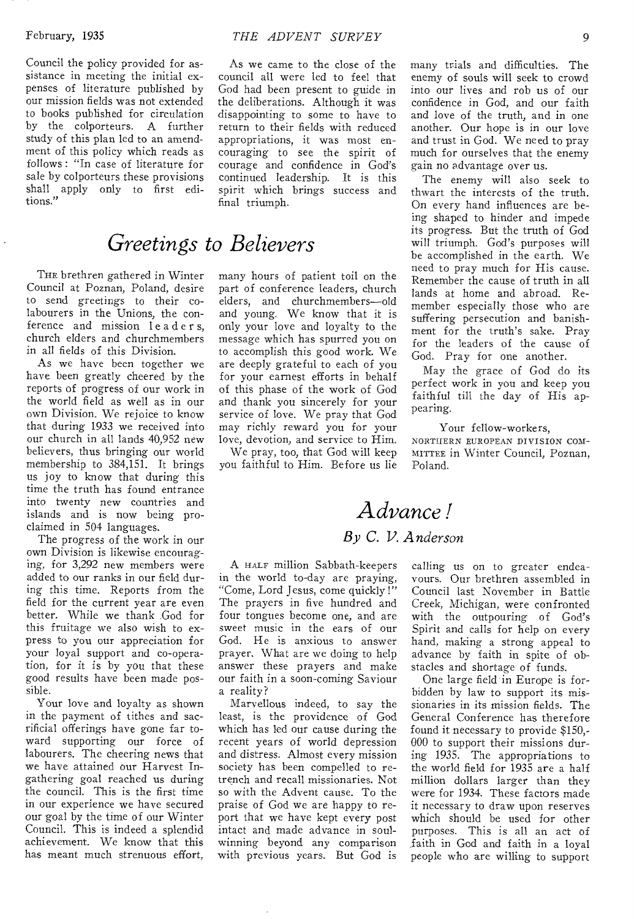Council the policy provided for assistance in meeting the initial expenses of literature published by our mission fields was not extended to books published for circulation by the colporteurs. A further study of this plan led to an amendment of this policy which reads as follows : "In case of literature for sale by colporteurs these provisions shall apply only to first editions."

## *Greetings to Believers*

THE brethren gathered in Winter Council at Poznan, Poland, desire to send greetings to their colabourers in the Unions, the conference and mission leader s, church elders and churchmembers in all fields of this Division.

As we have been together we have been greatly cheered by the reports of progress of our work in the world field as well as in our own Division. We rejoice to know that during 1933 we received into our church in all lands 40,952 new believers, thus bringing our world membership to 384,151. It brings us joy to know that during this time the truth has found entrance into twenty new countries and islands and is now being proclaimed in 504 languages.

The progress of the work in our own Division is likewise encouraging, for 3,292 new members were added to our ranks in our field during this time. Reports from the field for the current year are even better. While we thank God for this fruitage we also wish to express to you our appreciation for your loyal support and co-operation, for it is by you that these good results have been made possible.

Your love and loyalty as shown in the payment of tithes and sacrificial offerings have gone far toward supporting our force of labourers. The cheering news that we have attained our Harvest Ingathering goal reached us during the council. This is the first time in our experience we have secured our goal by the time of our Winter Council. This is indeed a splendid achievement. We know that this has meant much strenuous effort,

As we came to the close of the council all were led to feel that God had been present to guide in the deliberations. Although it was disappointing to some to have to return to their fields with reduced appropriations, it was most encouraging to see the spirit of courage and confidence in God's continued leadership. It is this spirit which brings success and final triumph.

many hours of patient toil on the part of conference leaders, church elders, and churchmembers—old and young. We know that it is only your love and loyalty to the message which has spurred you on to accomplish this good work. We are deeply grateful to each of you for your earnest efforts in behalf of this phase of the work of God and thank you sincerely for your service of love. We pray that God may richly reward you for your love, devotion, and service to Him.

We pray, too, that God will keep you faithful to Him. Before us lie many trials and difficulties. The enemy of souls will seek to crowd into our lives and rob us of our confidence in God, and our faith and love of the truth, and in one another. Our hope is in our love and trust in God. We need to pray much for ourselves that the enemy gain no advantage over us.

The enemy will also seek to thwart the interests of the truth. On every hand influences are being shaped to hinder and impede its progress. But the truth of God will triumph. God's purposes will be accomplished in the earth. We need to pray much for His cause. Remember the cause of truth in all lands at home and abroad. Remember especially those who are suffering persecution and banishment for the truth's sake. Pray for the leaders of the cause of God. Pray for one another.

May the grace of God do its perfect work in you and keep you faithful till the day of His appearing.

Your fellow-workers, NORTHERN EUROPEAN DIVISION COM-MITTEE in Winter Council, Poznan, Poland.

## *Advance ! By C. V. Anderson*

A HALF million Sabbath-keepers in the world to-day are praying, "Come, Lord Jesus, come quickly !" The prayers in five hundred and four tongues become one, and are sweet music in the ears of our God. He is anxious to answer prayer. What are we doing to help answer these prayers and make our faith in a soon-coming Saviour a reality?

Marvellous indeed, to say the least, is the providence of God which has led our cause during the recent years of world depression and distress. Almost every mission society has been compelled to retrench and recall missionaries. Not so with the Advent cause. To the praise of God we are happy to report that we have kept every post intact and made advance in soulwinning beyond any comparison with previous years. But God is

calling us on to greater endeavours. Our brethren assembled in Council last November in Battle Creek, Michigan, were confronted with the outpouring of God's Spirit and calls for help on every hand, making a strong appeal to advance by faith in spite of obstacles and shortage of funds.

One large field in Europe is forbidden by law to support its missionaries in its mission fields. The General Conference has therefore found it necessary to provide \$150,- 000 to support their missions during 1935. The appropriations to the world field for 1935 are a half million dollars larger than they were for 1934. These factors made it necessary to draw upon reserves which should be used for other purposes. This is all an act of faith in God and faith in a loyal people who are willing to support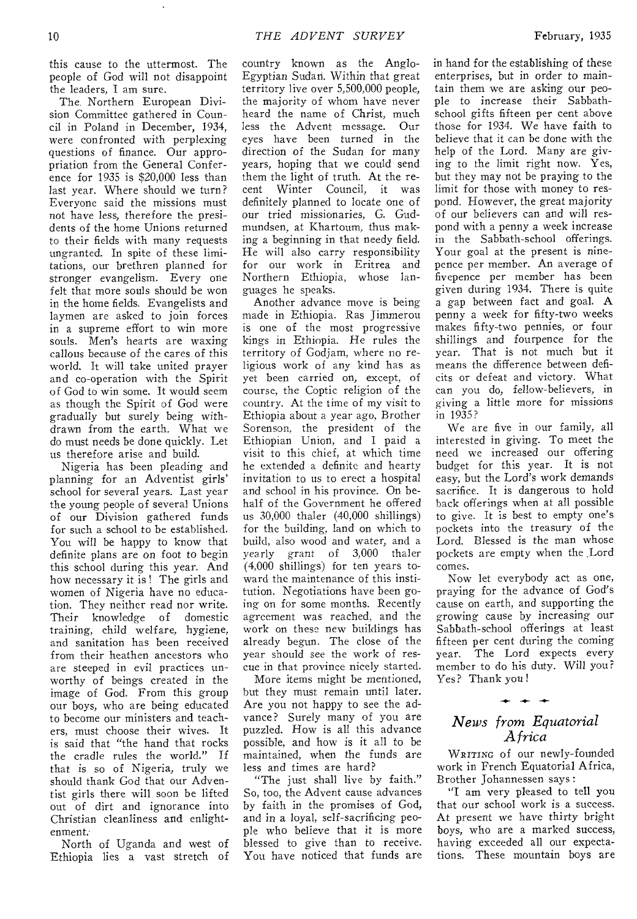this cause to the uttermost. The people of God will not disappoint the leaders, I am sure.

The. Northern European Division Committee gathered in Council in Poland in December, 1934, were confronted with perplexing questions of finance. Our appropriation from the General Conference for 1935 is \$20,000 less than last year. Where should we turn? Everyone said the missions must not have less, therefore the presidents of the home Unions returned to their fields with many requests ungranted. In spite of these limitations, our brethren planned for stronger evangelism. Every one felt that more souls should be won in the home fields. Evangelists and laymen are asked to join forces in a supreme effort to win more souls. Men's hearts are waxing callous because of the cares of this world. It will take united prayer and co-operation with the Spirit of God to win some. It would seem as though the Spirit of God were gradually but surely being withdrawn from the earth. What we do must needs be done quickly. Let us therefore arise and build.

Nigeria has been pleading and planning for an Adventist girls' school for several years. Last year the young people of several Unions of our Division gathered funds for such a school to be established. You will be happy to know that definite plans are on foot to begin this school during this year. And how necessary it is ! The girls and women of Nigeria have no education. They neither read nor write. Their knowledge of domestic training, child welfare, hygiene, and sanitation has been received from their heathen ancestors who are steeped in evil practices unworthy of beings created in the image of God. From this group our boys, who are being educated to become our ministers and teachers, must choose their wives. It is said that "the hand that rocks the cradle rules the world." If that is so of Nigeria, truly we should thank God that our Adventist girls there will soon be lifted out of dirt and ignorance into Christian cleanliness and enlightenment.

North of Uganda and west of Ethiopia lies a vast stretch of

country known as the Anglo-Egyptian Sudan. Within that great territory live over 5,500,000 people, the majority of whom have never heard the name of Christ, much<br>less the Advent message. Our less the Advent message. eyes have been turned in the direction of the Sudan for many years, hoping that we could send them the light of truth. At the recent Winter Council, it was definitely planned to locate one of our tried missionaries, G. Gudmundsen, at Khartoum, thus making a beginning in that needy field. He will also carry responsibility for our work in Eritrea and<br>Northern Ethionia, whose lan-Northern Ethiopia, whose guages he speaks.

Another advance move is being made in Ethiopia. Ras Jimmerou is one of the most progressive kings in Ethiopia. He rules the territory of Godjam, where no religious work of any kind has as yet been carried on, except, of course, the Coptic religion of the country. At the time of my visit to Ethiopia about a year ago, Brother Sorenson, the president of the Ethiopian Union, and I paid a visit to this chief, at which time he extended a definite and hearty invitation to us to erect a hospital and school in his province. On behalf of the Government he offered us 30,000 thaler (40,000 shillings) for the building, land on which to build, also wood and water, and a yearly grant of 3,000 thaler (4,000 shillings) for ten years toward the maintenance of this institution. Negotiations have been going on for some months. Recently agreement was reached, and the work on these new buildings has already begun. The close of the year should see the work of rescue in that province nicely started.

More items might be mentioned, but they must remain until later. Are you not happy to see the advance? Surely many of you are puzzled. How is all this advance possible, and how is it all to be maintained, when the funds are less and times are hard?

"The just shall live by faith." So, too, the Advent cause advances by faith in the promises of God, and in a loyal, self-sacrificing people who believe that it is more blessed to give than to receive. You have noticed that funds are

in hand for the establishing of these enterprises, but in order to maintain them we are asking our people to increase their Sabbathschool gifts fifteen per cent above those for 1934. We have faith to believe that it can be done with the help of the Lord. Many are giving to the limit right now. Yes, but they may not be praying to the limit for those with money to respond. However, the great majority of our believers can and will respond with a penny a week increase in the Sabbath-school offerings. Your goal at the present is ninepence per member. An average of fivepence per member has been given during 1934. There is quite a gap between fact and goal. A penny a week for fifty-two weeks makes fifty-two pennies, or four shillings and fourpence for the year. That is not much but it means the difference between deficits or defeat and victory. What can you do, fellow-believers, in giving a little more for missions in 1935?

We are five in our family, all interested in giving. To meet the need we increased our offering budget for this year. It is not easy, but the Lord's work demands sacrifice. It is dangerous to hold back offerings when at all possible to give. It is best to empty one's pockets into the treasury of the Lord. Blessed is the man whose pockets are empty when the ,Lord comes.

Now let everybody act as one, praying for the advance of God's cause on earth, and supporting the growing cause by increasing our Sabbath-school offerings at least fifteen per cent during the coming year. The Lord expects every member to do his duty. Will you? Yes? Thank you!

### *News from Equatorial Africa*

 $+ +$ 

WRITING of our newly-founded work in French Equatorial Africa, Brother Johannessen says:

"I am very pleased to tell you that our school work is a success. At present we have thirty bright boys, who are a marked success, having exceeded all our expectations. These mountain boys are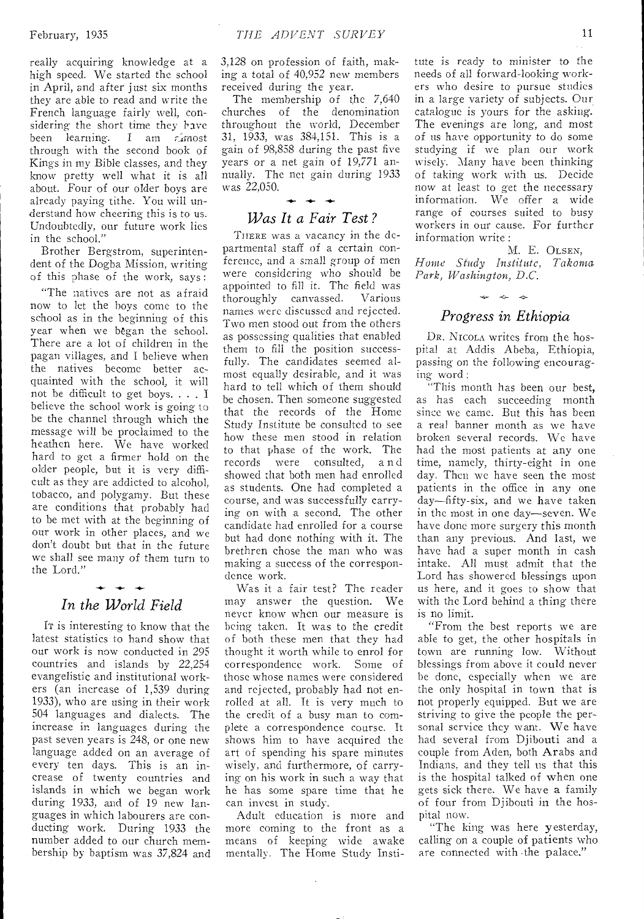really acquiring knowledge at a high speed. We started the school in April, and after just six months they are able to read and write the French language fairly well, considering the short time they have been learning. I am  $\zeta$  most through with the second book of Kings in my Bible classes, and they know pretty well what it is all about. Four of our older boys are already paying tithe. You will understand how cheering this is to us. Undoubtedly, our future work lies in the school."

Brother Bergstrom, superintendent of the Dogba Mission, writing of this phase of the work, says :

"The natives are not **as** afraid now to let the boys come to the school as in the beginning of this year when we began the school. There are a lot of children in the pagan villages, and I believe when the natives become better acquainted with the school, it will not be difficult to get boys. . . . **I**  believe the school work is going to be the channel through which **the**  message will be proclaimed to the heathen here. We have worked hard to get a firmer hold on the older people, but it is very difficult as they are addicted to alcohol, tobacco, and polygamy. But these are conditions that probably had to be met with at the beginning of our work in other places, and we don't doubt but that in the future we shall see many of them turn to the Lord."

## *In the World Field*

*IT* is interesting to know that the latest statistics to hand show that our work is now conducted in 295 countries and islands by 22,254 evangelistic and institutional workers (an increase of 1,539 during 1933), who are using in their work 504 languages and dialects. The increase in languages during the past seven years is 248, or one new language added on an average of every ten days. This is an increase of twenty countries and islands in which we began work during 1933, and of 19 new languages in which labourers are conducting work. During 1933 the number added to our church membership by baptism was 37,824 and

3,128 on profession of faith, making a total of 40,952 new members received during the year.

The membership of the 7,640 churches of the denomination throughout the world, December 31, 1933, was 384,151. This is a gain of **98,858** during the past **five**  years or a net **gain** of 19,771 **annually.** The **net gain** during 1933 was 22,050.

### *Was It a Fair Test?*

**-4.-** *-I.-* 

THERE was a vacancy in the departmental **staff of a** certain conference, **and a small** group of men were **considering** who should be **appointed to fill it.** The field **was thoroughly canvassed. Various names were discussed** and **rejected. Two men stood** out from the others **as possessing** qualities that enabled them **to fill** the **position successfully.** The candidates **seemed almost** equally desirable, **and** it was hard to tell which of **them should**  be chosen. Then someone suggested that the records of the **Home**  Study Institute be consulted to see how these men stood in relation to that phase of the work. The records were consulted, a n d showed that both men had enrolled as students. One had completed a course, and was successfully carrying on with a second. The other candidate had enrolled for a course but had done nothing with it. The brethren chose the man who was making a success of the correspondence work.

**Was it a** fair test? The reader **may answer** the question. We **never know** when our measure **is being** taken. It was to the credit of both these men that they had thought it worth while to enrol for correspondence work. Some of those whose names were considered and rejected, probably had not enrolled at all. It is very much to the credit of a busy man to complete a correspondence course. It shows him to have acquired the art of spending his spare minutes wisely, and furthermore, of carrying on his work in such a way that he has some spare time that he can invest in study.

Adult education is more and more coming to the front as a means of keeping wide awake mentally. The Home Study Insti-

tute is ready to minister to the needs of all forward-looking workers who desire to pursue **studies**  in a large variety of subjects. **Our catalogue is** yours for the asking. The **evenings** are long, and most of us **have** opportunity **to** do some **studying** if we **plan** our work **wisely.** Many **have** been thinking **of taking work with** us. Decide now at least **to get** the necessary information. **We** offer a wide range of **courses** suited to busy workers in **our cause.** For further information write :

M. E. OLSEN, *Home Study institute, Takoma Park, Washington, D.C.* 

### $\Rightarrow$ *Progress in Ethiopia*

DR. NICOLA writes from the hospital at Addis Abeba, Ethiopia, **passing on** the following encouraging **word :** 

**"This** month has been our best, **as has** each succeeding month **since we** came. But this has been a **real banner** month as we have broken several records. **We have**  had the most patients at any one time, namely, thirty-eight in one day. Then we have seen the most patients in the office in any one day—fifty-six, and we have taken in the most in one day—seven. We have done more surgery this month than any previous. And last, we have had a super month in cash intake. All must admit that the Lord has showered blessings upon us here, and it goes to show that with the Lord behind a thing there is no limit.

"From the best reports we are able to get, the other hospitals in town are running low. Without blessings from above it could never be done, especially when we are the only hospital in town that is not properly equipped. But we are striving to give the people the personal service they want. We have had several from Djibouti and a couple from Aden, both Arabs and Indians, and they tell us that this is the hospital talked of when one gets sick there. We have **a family of** four from Djibouti in the hospital now.

"The **king** was here yesterday, calling on a couple of patients who are connected with the palace."